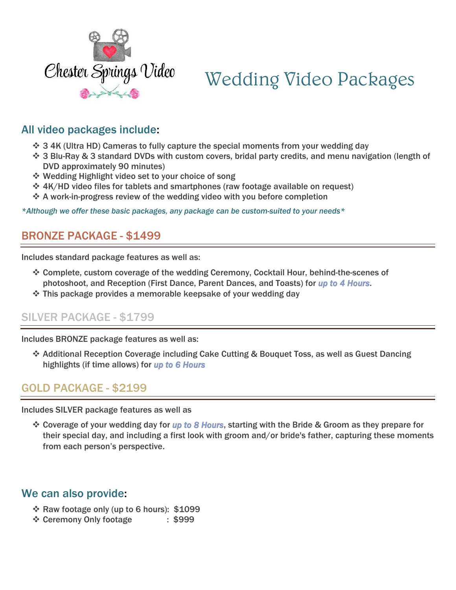

# Wedding Video Packages

# All video packages include:

- ❖ 3 4K (Ultra HD) Cameras to fully capture the special moments from your wedding day
- ❖ 3 Blu-Ray & 3 standard DVDs with custom covers, bridal party credits, and menu navigation (length of DVD approximately 90 minutes)
- ❖ Wedding Highlight video set to your choice of song
- ❖ 4K/HD video files for tablets and smartphones (raw footage available on request)
- ❖ A work-in-progress review of the wedding video with you before completion

*\*Although we offer these basic packages, any package can be custom-suited to your needs\** 

## BRONZE PACKAGE - \$1499

Includes standard package features as well as:

- ❖ Complete, custom coverage of the wedding Ceremony, Cocktail Hour, behind-the-scenes of photoshoot, and Reception (First Dance, Parent Dances, and Toasts) for *up to 4 Hours*.
- ❖ This package provides a memorable keepsake of your wedding day

### SILVER PACKAGE - \$1799

Includes BRONZE package features as well as:

❖ Additional Reception Coverage including Cake Cutting & Bouquet Toss, as well as Guest Dancing highlights (if time allows) for *up to 6 Hours*

### GOLD PACKAGE - \$2199

Includes SILVER package features as well as

❖ Coverage of your wedding day for *up to 8 Hours*, starting with the Bride & Groom as they prepare for their special day, and including a first look with groom and/or bride's father, capturing these moments from each person's perspective.

#### We can also provide:

- ❖ Raw footage only (up to 6 hours): \$1099
- ❖ Ceremony Only footage : \$999